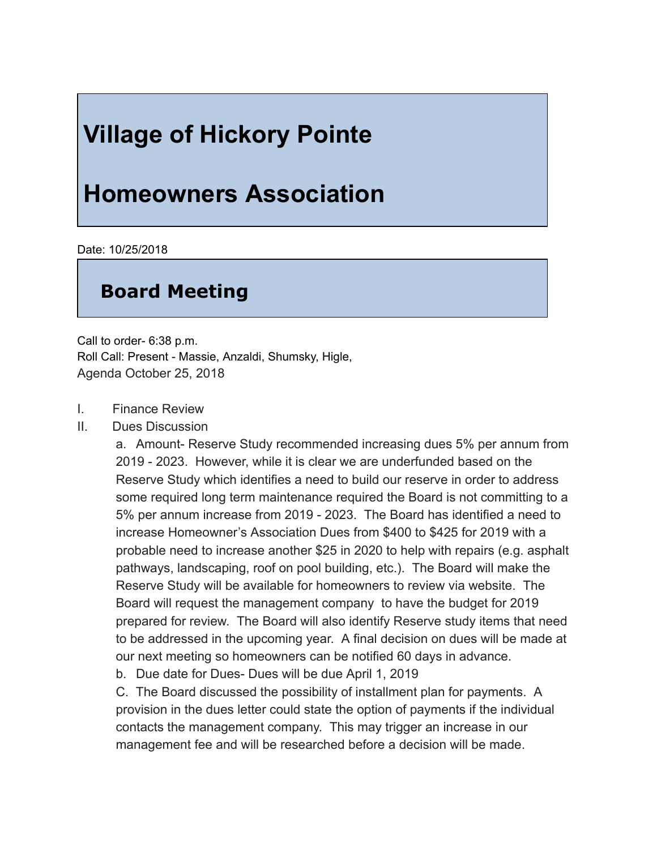## **Village of Hickory Pointe**

## **Homeowners Association**

Date: 10/25/2018

## **Board Meeting**

Call to order- 6:38 p.m. Roll Call: Present - Massie, Anzaldi, Shumsky, Higle, Agenda October 25, 2018

- I. Finance Review
- II. Dues Discussion

a. Amount- Reserve Study recommended increasing dues 5% per annum from 2019 2023. However, while it is clear we are underfunded based on the Reserve Study which identifies a need to build our reserve in order to address some required long term maintenance required the Board is not committing to a 5% per annum increase from 2019 2023. The Board has identified a need to increase Homeowner's Association Dues from \$400 to \$425 for 2019 with a probable need to increase another \$25 in 2020 to help with repairs (e.g. asphalt pathways, landscaping, roof on pool building, etc.). The Board will make the Reserve Study will be available for homeowners to review via website. The Board will request the management company to have the budget for 2019 prepared for review. The Board will also identify Reserve study items that need to be addressed in the upcoming year. A final decision on dues will be made at our next meeting so homeowners can be notified 60 days in advance.

b. Due date for Dues- Dues will be due April 1, 2019

C. The Board discussed the possibility of installment plan for payments. A provision in the dues letter could state the option of payments if the individual contacts the management company. This may trigger an increase in our management fee and will be researched before a decision will be made.